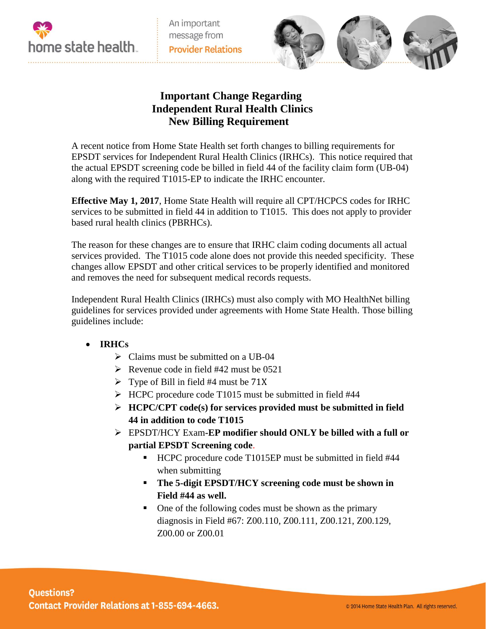

An important message from **Provider Relations** 



## **Important Change Regarding Independent Rural Health Clinics New Billing Requirement**

A recent notice from Home State Health set forth changes to billing requirements for EPSDT services for Independent Rural Health Clinics (IRHCs). This notice required that the actual EPSDT screening code be billed in field 44 of the facility claim form (UB-04) along with the required T1015-EP to indicate the IRHC encounter.

**Effective May 1, 2017**, Home State Health will require all CPT/HCPCS codes for IRHC services to be submitted in field 44 in addition to T1015. This does not apply to provider based rural health clinics (PBRHCs).

The reason for these changes are to ensure that IRHC claim coding documents all actual services provided. The T1015 code alone does not provide this needed specificity. These changes allow EPSDT and other critical services to be properly identified and monitored and removes the need for subsequent medical records requests.

Independent Rural Health Clinics (IRHCs) must also comply with MO HealthNet billing guidelines for services provided under agreements with Home State Health. Those billing guidelines include:

- **IRHCs** 
	- $\triangleright$  Claims must be submitted on a UB-04
	- Revenue code in field  $#42$  must be 0521
	- $\triangleright$  Type of Bill in field #4 must be 71X
	- HCPC procedure code T1015 must be submitted in field #44
	- **HCPC/CPT code(s) for services provided must be submitted in field 44 in addition to code T1015**
	- EPSDT/HCY Exam**-EP modifier should ONLY be billed with a full or partial EPSDT Screening code**.
		- HCPC procedure code T1015EP must be submitted in field #44 when submitting
		- **The 5-digit EPSDT/HCY screening code must be shown in Field #44 as well.**
		- One of the following codes must be shown as the primary diagnosis in Field #67: Z00.110, Z00.111, Z00.121, Z00.129, Z00.00 or Z00.01